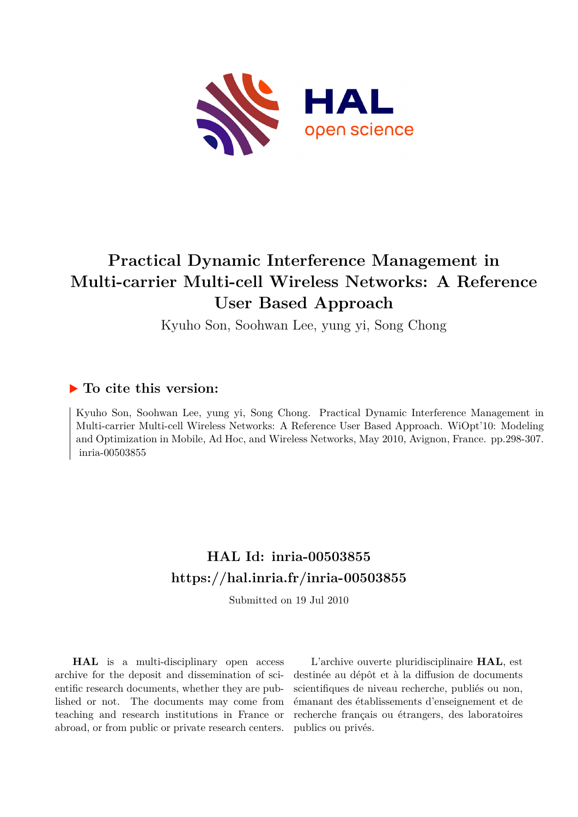

## **Practical Dynamic Interference Management in Multi-carrier Multi-cell Wireless Networks: A Reference User Based Approach**

Kyuho Son, Soohwan Lee, yung yi, Song Chong

### **To cite this version:**

Kyuho Son, Soohwan Lee, yung yi, Song Chong. Practical Dynamic Interference Management in Multi-carrier Multi-cell Wireless Networks: A Reference User Based Approach. WiOpt'10: Modeling and Optimization in Mobile, Ad Hoc, and Wireless Networks, May 2010, Avignon, France. pp.298-307. inria-00503855

## **HAL Id: inria-00503855 <https://hal.inria.fr/inria-00503855>**

Submitted on 19 Jul 2010

**HAL** is a multi-disciplinary open access archive for the deposit and dissemination of scientific research documents, whether they are published or not. The documents may come from teaching and research institutions in France or abroad, or from public or private research centers.

L'archive ouverte pluridisciplinaire **HAL**, est destinée au dépôt et à la diffusion de documents scientifiques de niveau recherche, publiés ou non, émanant des établissements d'enseignement et de recherche français ou étrangers, des laboratoires publics ou privés.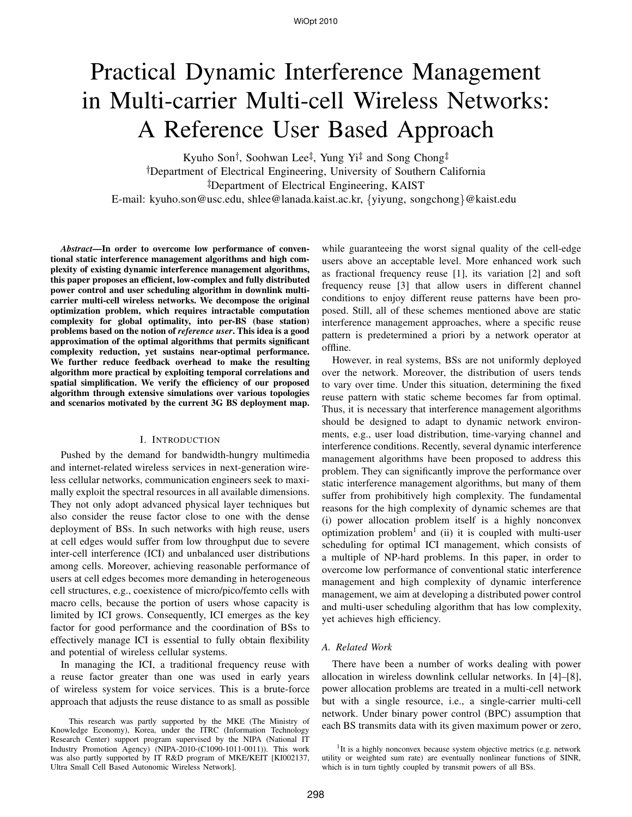# Practical Dynamic Interference Management in Multi-carrier Multi-cell Wireless Networks: A Reference User Based Approach

Kyuho Son<sup>†</sup>, Soohwan Lee<sup>‡</sup>, Yung Yi<sup>‡</sup> and Song Chong<sup>‡</sup> <sup>†</sup>Department of Electrical Engineering, University of Southern California <sup>‡</sup>Department of Electrical Engineering, KAIST

E-mail: kyuho.son@usc.edu, shlee@lanada.kaist.ac.kr, {yiyung, songchong}@kaist.edu

*Abstract***—In order to overcome low performance of conventional static interference management algorithms and high complexity of existing dynamic interference management algorithms, this paper proposes an efficient, low-complex and fully distributed power control and user scheduling algorithm in downlink multicarrier multi-cell wireless networks. We decompose the original optimization problem, which requires intractable computation complexity for global optimality, into per-BS (base station) problems based on the notion of** *reference user***. This idea is a good approximation of the optimal algorithms that permits significant complexity reduction, yet sustains near-optimal performance. We further reduce feedback overhead to make the resulting algorithm more practical by exploiting temporal correlations and spatial simplification. We verify the efficiency of our proposed algorithm through extensive simulations over various topologies and scenarios motivated by the current 3G BS deployment map.**

#### I. INTRODUCTION

Pushed by the demand for bandwidth-hungry multimedia and internet-related wireless services in next-generation wireless cellular networks, communication engineers seek to maximally exploit the spectral resources in all available dimensions. They not only adopt advanced physical layer techniques but also consider the reuse factor close to one with the dense deployment of BSs. In such networks with high reuse, users at cell edges would suffer from low throughput due to severe inter-cell interference (ICI) and unbalanced user distributions among cells. Moreover, achieving reasonable performance of users at cell edges becomes more demanding in heterogeneous cell structures, e.g., coexistence of micro/pico/femto cells with macro cells, because the portion of users whose capacity is limited by ICI grows. Consequently, ICI emerges as the key factor for good performance and the coordination of BSs to effectively manage ICI is essential to fully obtain flexibility and potential of wireless cellular systems.

In managing the ICI, a traditional frequency reuse with a reuse factor greater than one was used in early years of wireless system for voice services. This is a brute-force approach that adjusts the reuse distance to as small as possible

This research was partly supported by the MKE (The Ministry of Knowledge Economy), Korea, under the ITRC (Information Technology Research Center) support program supervised by the NIPA (National IT Industry Promotion Agency) (NIPA-2010-(C1090-1011-0011)). This work was also partly supported by IT R&D program of MKE/KEIT [KI002137, Ultra Small Cell Based Autonomic Wireless Network].

while guaranteeing the worst signal quality of the cell-edge users above an acceptable level. More enhanced work such as fractional frequency reuse [1], its variation [2] and soft frequency reuse [3] that allow users in different channel conditions to enjoy different reuse patterns have been proposed. Still, all of these schemes mentioned above are static interference management approaches, where a specific reuse pattern is predetermined a priori by a network operator at offline.

However, in real systems, BSs are not uniformly deployed over the network. Moreover, the distribution of users tends to vary over time. Under this situation, determining the fixed reuse pattern with static scheme becomes far from optimal. Thus, it is necessary that interference management algorithms should be designed to adapt to dynamic network environments, e.g., user load distribution, time-varying channel and interference conditions. Recently, several dynamic interference management algorithms have been proposed to address this problem. They can significantly improve the performance over static interference management algorithms, but many of them suffer from prohibitively high complexity. The fundamental reasons for the high complexity of dynamic schemes are that (i) power allocation problem itself is a highly nonconvex optimization problem<sup>1</sup> and (ii) it is coupled with multi-user scheduling for optimal ICI management, which consists of a multiple of NP-hard problems. In this paper, in order to overcome low performance of conventional static interference management and high complexity of dynamic interference management, we aim at developing a distributed power control and multi-user scheduling algorithm that has low complexity, yet achieves high efficiency.

#### *A. Related Work*

There have been a number of works dealing with power allocation in wireless downlink cellular networks. In [4]–[8], power allocation problems are treated in a multi-cell network but with a single resource, i.e., a single-carrier multi-cell network. Under binary power control (BPC) assumption that each BS transmits data with its given maximum power or zero,

<sup>&</sup>lt;sup>1</sup>It is a highly nonconvex because system objective metrics (e.g. network utility or weighted sum rate) are eventually nonlinear functions of SINR, which is in turn tightly coupled by transmit powers of all BSs.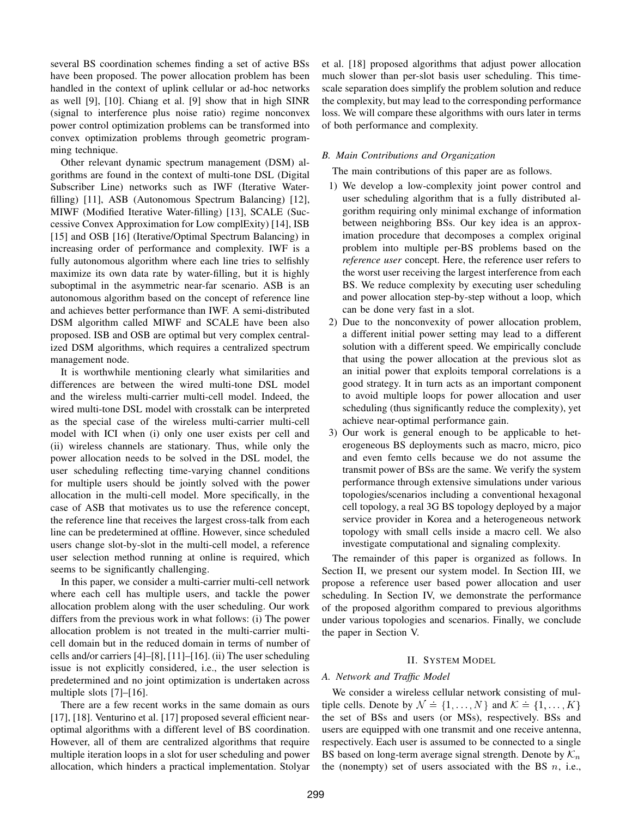several BS coordination schemes finding a set of active BSs have been proposed. The power allocation problem has been handled in the context of uplink cellular or ad-hoc networks as well [9], [10]. Chiang et al. [9] show that in high SINR (signal to interference plus noise ratio) regime nonconvex power control optimization problems can be transformed into convex optimization problems through geometric programming technique.

Other relevant dynamic spectrum management (DSM) algorithms are found in the context of multi-tone DSL (Digital Subscriber Line) networks such as IWF (Iterative Waterfilling) [11], ASB (Autonomous Spectrum Balancing) [12], MIWF (Modified Iterative Water-filling) [13], SCALE (Successive Convex Approximation for Low complExity) [14], ISB [15] and OSB [16] (Iterative/Optimal Spectrum Balancing) in increasing order of performance and complexity. IWF is a fully autonomous algorithm where each line tries to selfishly maximize its own data rate by water-filling, but it is highly suboptimal in the asymmetric near-far scenario. ASB is an autonomous algorithm based on the concept of reference line and achieves better performance than IWF. A semi-distributed DSM algorithm called MIWF and SCALE have been also proposed. ISB and OSB are optimal but very complex centralized DSM algorithms, which requires a centralized spectrum management node.

It is worthwhile mentioning clearly what similarities and differences are between the wired multi-tone DSL model and the wireless multi-carrier multi-cell model. Indeed, the wired multi-tone DSL model with crosstalk can be interpreted as the special case of the wireless multi-carrier multi-cell model with ICI when (i) only one user exists per cell and (ii) wireless channels are stationary. Thus, while only the power allocation needs to be solved in the DSL model, the user scheduling reflecting time-varying channel conditions for multiple users should be jointly solved with the power allocation in the multi-cell model. More specifically, in the case of ASB that motivates us to use the reference concept, the reference line that receives the largest cross-talk from each line can be predetermined at offline. However, since scheduled users change slot-by-slot in the multi-cell model, a reference user selection method running at online is required, which seems to be significantly challenging.

In this paper, we consider a multi-carrier multi-cell network where each cell has multiple users, and tackle the power allocation problem along with the user scheduling. Our work differs from the previous work in what follows: (i) The power allocation problem is not treated in the multi-carrier multicell domain but in the reduced domain in terms of number of cells and/or carriers [4]–[8], [11]–[16]. (ii) The user scheduling issue is not explicitly considered, i.e., the user selection is predetermined and no joint optimization is undertaken across multiple slots [7]–[16].

There are a few recent works in the same domain as ours [17], [18]. Venturino et al. [17] proposed several efficient nearoptimal algorithms with a different level of BS coordination. However, all of them are centralized algorithms that require multiple iteration loops in a slot for user scheduling and power allocation, which hinders a practical implementation. Stolyar et al. [18] proposed algorithms that adjust power allocation much slower than per-slot basis user scheduling. This timescale separation does simplify the problem solution and reduce the complexity, but may lead to the corresponding performance loss. We will compare these algorithms with ours later in terms of both performance and complexity.

#### *B. Main Contributions and Organization*

The main contributions of this paper are as follows.

- 1) We develop a low-complexity joint power control and user scheduling algorithm that is a fully distributed algorithm requiring only minimal exchange of information between neighboring BSs. Our key idea is an approximation procedure that decomposes a complex original problem into multiple per-BS problems based on the *reference user* concept. Here, the reference user refers to the worst user receiving the largest interference from each BS. We reduce complexity by executing user scheduling and power allocation step-by-step without a loop, which can be done very fast in a slot.
- 2) Due to the nonconvexity of power allocation problem, a different initial power setting may lead to a different solution with a different speed. We empirically conclude that using the power allocation at the previous slot as an initial power that exploits temporal correlations is a good strategy. It in turn acts as an important component to avoid multiple loops for power allocation and user scheduling (thus significantly reduce the complexity), yet achieve near-optimal performance gain.
- 3) Our work is general enough to be applicable to heterogeneous BS deployments such as macro, micro, pico and even femto cells because we do not assume the transmit power of BSs are the same. We verify the system performance through extensive simulations under various topologies/scenarios including a conventional hexagonal cell topology, a real 3G BS topology deployed by a major service provider in Korea and a heterogeneous network topology with small cells inside a macro cell. We also investigate computational and signaling complexity.

The remainder of this paper is organized as follows. In Section II, we present our system model. In Section III, we propose a reference user based power allocation and user scheduling. In Section IV, we demonstrate the performance of the proposed algorithm compared to previous algorithms under various topologies and scenarios. Finally, we conclude the paper in Section V.

#### II. SYSTEM MODEL

#### *A. Network and Traffic Model*

We consider a wireless cellular network consisting of multiple cells. Denote by  $\mathcal{N} = \{1, \ldots, N\}$  and  $\mathcal{K} = \{1, \ldots, K\}$ the set of BSs and users (or MSs), respectively. BSs and users are equipped with one transmit and one receive antenna, respectively. Each user is assumed to be connected to a single BS based on long-term average signal strength. Denote by  $\mathcal{K}_n$ the (nonempty) set of users associated with the BS  $n$ , i.e.,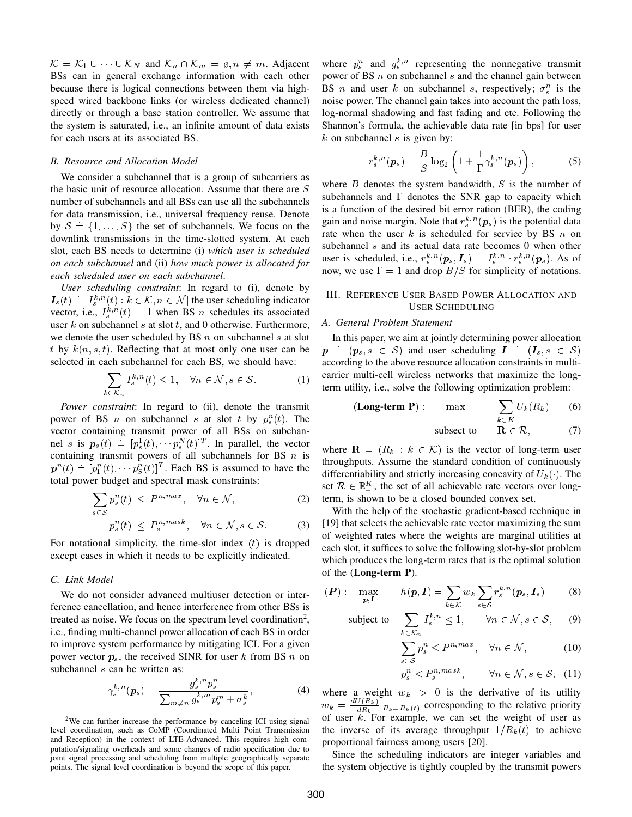$\mathcal{K} = \mathcal{K}_1 \cup \cdots \cup \mathcal{K}_N$  and  $\mathcal{K}_n \cap \mathcal{K}_m = \emptyset$ ,  $n \neq m$ . Adjacent BSs can in general exchange information with each other because there is logical connections between them via highspeed wired backbone links (or wireless dedicated channel) directly or through a base station controller. We assume that the system is saturated, i.e., an infinite amount of data exists for each users at its associated BS.

#### *B. Resource and Allocation Model*

We consider a subchannel that is a group of subcarriers as the basic unit of resource allocation. Assume that there are S number of subchannels and all BSs can use all the subchannels for data transmission, i.e., universal frequency reuse. Denote by  $S = \{1, \ldots, S\}$  the set of subchannels. We focus on the downlink transmissions in the time-slotted system. At each slot, each BS needs to determine (i) *which user is scheduled on each subchannel* and (ii) *how much power is allocated for each scheduled user on each subchannel*.

*User scheduling constraint*: In regard to (i), denote by  $I_s(t) = [I_s^{k,n}(t) : k \in \mathcal{K}, n \in \mathcal{N}]$  the user scheduling indicator vector, i.e.,  $I_s^{k,n}(t) = 1$  when BS *n* schedules its associated user  $k$  on subchannel  $s$  at slot  $t$ , and 0 otherwise. Furthermore, we denote the user scheduled by BS  $n$  on subchannel  $s$  at slot t by  $k(n, s, t)$ . Reflecting that at most only one user can be selected in each subchannel for each BS, we should have:

$$
\sum_{k \in \mathcal{K}_n} I_s^{k,n}(t) \le 1, \quad \forall n \in \mathcal{N}, s \in \mathcal{S}.
$$
 (1)

*Power constraint*: In regard to (ii), denote the transmit power of BS *n* on subchannel *s* at slot *t* by  $p_s^n(t)$ . The vector containing transmit power of all BSs on subchannel s is  $p_s(t) = [p_s^1(t), \cdots p_s^N(t)]^T$ . In parallel, the vector containing transmit powers of all subchannels for BS  $n$  is  $p^{n}(t) = [p_{1}^{n}(t), \cdots p_{S}^{n}(t)]^{T}$ . Each BS is assumed to have the total power budget and spectral mask constraints:

$$
\sum_{s \in S} p_s^n(t) \le P^{n, max}, \quad \forall n \in \mathcal{N}, \tag{2}
$$

$$
p_s^n(t) \le P_s^{n, mask}, \quad \forall n \in \mathcal{N}, s \in \mathcal{S}.
$$
 (3)

For notational simplicity, the time-slot index  $(t)$  is dropped except cases in which it needs to be explicitly indicated.

#### *C. Link Model*

 $-$ 

We do not consider advanced multiuser detection or interference cancellation, and hence interference from other BSs is treated as noise. We focus on the spectrum level coordination<sup>2</sup>, i.e., finding multi-channel power allocation of each BS in order to improve system performance by mitigating ICI. For a given power vector  $p_s$ , the received SINR for user k from BS n on subchannel *s* can be written as:

$$
\gamma_s^{k,n}(\mathbf{p}_s) = \frac{g_s^{k,n} p_s^n}{\sum_{m \neq n} g_s^{k,m} p_s^m + \sigma_s^k},\tag{4}
$$

<sup>2</sup>We can further increase the performance by canceling ICI using signal level coordination, such as CoMP (Coordinated Multi Point Transmission and Reception) in the context of LTE-Advanced. This requires high computation/signaling overheads and some changes of radio specification due to joint signal processing and scheduling from multiple geographically separate points. The signal level coordination is beyond the scope of this paper.

where  $p_s^n$  and  $g_s^{k,n}$  representing the nonnegative transmit power of BS  $n$  on subchannel  $s$  and the channel gain between BS *n* and user *k* on subchannel *s*, respectively;  $\sigma_s^n$  is the noise power. The channel gain takes into account the path loss, log-normal shadowing and fast fading and etc. Following the Shannon's formula, the achievable data rate [in bps] for user  $k$  on subchannel s is given by:

$$
r_s^{k,n}(\boldsymbol{p}_s) = \frac{B}{S} \log_2 \left( 1 + \frac{1}{\Gamma} \gamma_s^{k,n}(\boldsymbol{p}_s) \right), \tag{5}
$$

where  $B$  denotes the system bandwidth,  $S$  is the number of subchannels and  $\Gamma$  denotes the SNR gap to capacity which is a function of the desired bit error ration (BER), the coding gain and noise margin. Note that  $r_s^{k,n}(\boldsymbol{p}_s)$  is the potential data rate when the user  $k$  is scheduled for service by BS  $n$  on subchannel s and its actual data rate becomes 0 when other user is scheduled, i.e.,  $r_s^{k,n}(\mathbf{p}_s, \mathbf{I}_s) = I_s^{k,n} \cdot r_s^{k,n}(\mathbf{p}_s)$ . As of now, we use  $\Gamma=1$  and drop  $B/S$  for simplicity of notations.

#### III. REFERENCE USER BASED POWER ALLOCATION AND USER SCHEDULING

#### *A. General Problem Statement*

In this paper, we aim at jointly determining power allocation  $p = (p_s, s \in S)$  and user scheduling  $I = (I_s, s \in S)$ according to the above resource allocation constraints in multicarrier multi-cell wireless networks that maximize the longterm utility, i.e., solve the following optimization problem:

$$
\textbf{(Long-term P)}: \qquad \max_{k \in K} \qquad \sum_{k \in K} U_k(R_k) \qquad (6)
$$

subsect to  $\mathbf{R} \in \mathcal{R}$ , (7)

where  $\mathbf{R} = (R_k : k \in \mathcal{K})$  is the vector of long-term user throughputs. Assume the standard condition of continuously differentiability and strictly increasing concavity of  $U_k($ ). The set  $\mathcal{R} \in \mathbb{R}_+^K$ , the set of all achievable rate vectors over longterm, is shown to be a closed bounded convex set.

With the help of the stochastic gradient-based technique in [19] that selects the achievable rate vector maximizing the sum of weighted rates where the weights are marginal utilities at each slot, it suffices to solve the following slot-by-slot problem which produces the long-term rates that is the optimal solution of the (**Long-term P**).

$$
(\boldsymbol{P}) : \max_{\boldsymbol{p}, \boldsymbol{I}} \qquad h(\boldsymbol{p}, \boldsymbol{I}) = \sum_{k \in \mathcal{K}} w_k \sum_{s \in \mathcal{S}} r_s^{k, n} (\boldsymbol{p}_s, \boldsymbol{I}_s) \qquad (8)
$$

subject to 
$$
\sum_{k \in \mathcal{K}_n} I_s^{k,n} \leq 1, \qquad \forall n \in \mathcal{N}, s \in \mathcal{S}, \qquad (9)
$$

$$
\sum_{s \in \mathcal{S}} p_s^n \le P^{n, max}, \quad \forall n \in \mathcal{N}, \tag{10}
$$

$$
p_s^n \le P_s^{n, mask}, \qquad \forall n \in \mathcal{N}, s \in \mathcal{S}, \tag{11}
$$

where a weight  $w_k > 0$  is the derivative of its utility  $w_k = \frac{dU(R_k)}{dR_k} |_{R_k = R_k(t)}$  corresponding to the relative priority of user  $k$ . For example, we can set the weight of user as the inverse of its average throughput  $1/R_k(t)$  to achieve proportional fairness among users [20].

Since the scheduling indicators are integer variables and the system objective is tightly coupled by the transmit powers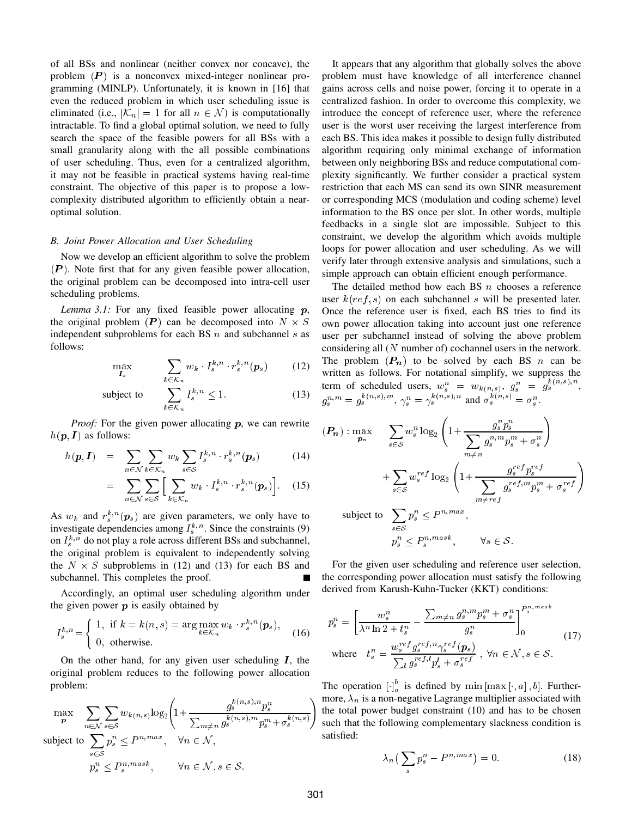of all BSs and nonlinear (neither convex nor concave), the problem  $(P)$  is a nonconvex mixed-integer nonlinear programming (MINLP). Unfortunately, it is known in [16] that even the reduced problem in which user scheduling issue is eliminated (i.e.,  $|K_n| = 1$  for all  $n \in \mathcal{N}$ ) is computationally intractable. To find a global optimal solution, we need to fully search the space of the feasible powers for all BSs with a small granularity along with the all possible combinations of user scheduling. Thus, even for a centralized algorithm, it may not be feasible in practical systems having real-time constraint. The objective of this paper is to propose a lowcomplexity distributed algorithm to efficiently obtain a nearoptimal solution.

#### *B. Joint Power Allocation and User Scheduling*

Now we develop an efficient algorithm to solve the problem  $(P)$ . Note first that for any given feasible power allocation, the original problem can be decomposed into intra-cell user scheduling problems.

*Lemma 3.1:* For any fixed feasible power allocating  $p$ , the original problem  $(P)$  can be decomposed into  $N \times S$ independent subproblems for each BS  $n$  and subchannel  $s$  as follows:

$$
\max_{\boldsymbol{I}_s} \qquad \sum_{k \in \mathcal{K}_n} w_k \cdot I_s^{k,n} \cdot r_s^{k,n}(\boldsymbol{p}_s) \qquad (12)
$$

subject to 
$$
\sum_{k \in \mathcal{K}_n} I_s^{k,n} \leq 1.
$$
 (13)

*Proof:* For the given power allocating p, we can rewrite  $h(\mathbf{p}, I)$  as follows:

$$
h(\mathbf{p}, \mathbf{I}) = \sum_{n \in \mathcal{N}} \sum_{k \in \mathcal{K}_n} w_k \sum_{s \in \mathcal{S}} I_s^{k, n} \cdot r_s^{k, n}(\mathbf{p}_s) \tag{14}
$$

$$
= \sum_{n \in \mathcal{N}} \sum_{s \in \mathcal{S}} \left[ \sum_{k \in \mathcal{K}_n} w_k \cdot I_s^{k,n} \cdot r_s^{k,n}(\boldsymbol{p}_s) \right]. \tag{15}
$$

As  $w_k$  and  $r_s^{k,n}(\boldsymbol{p}_s)$  are given parameters, we only have to investigate dependencies among  $I_s^{k,n}$ . Since the constraints (9) on  $I_s^{k,n}$  do not play a role across different BSs and subchannel, the original problem is equivalent to independently solving the  $N \times S$  subproblems in (12) and (13) for each BS and subchannel. This completes the proof.

Accordingly, an optimal user scheduling algorithm under the given power  $p$  is easily obtained by

$$
I_s^{k,n} = \begin{cases} 1, & \text{if } k = k(n,s) = \arg\max_{k \in \mathcal{K}_n} w_k \cdot r_s^{k,n}(\boldsymbol{p}_s), \\ 0, & \text{otherwise.} \end{cases} \tag{16}
$$

On the other hand, for any given user scheduling  $I$ , the original problem reduces to the following power allocation problem:

$$
\max_{\mathbf{p}} \sum_{n \in \mathcal{N}} \sum_{s \in \mathcal{S}} w_{k(n,s)} \log_2 \left( 1 + \frac{g_s^{k(n,s),n} p_s^n}{\sum_{m \neq n} g_s^{k(n,s),m} p_s^m + \sigma_s^{k(n,s)}} \right)
$$
\n
$$
\text{subject to } \sum_{s \in \mathcal{S}} p_s^n \le P^{n, max}, \quad \forall n \in \mathcal{N},
$$
\n
$$
p_s^n \le P_s^{n, mask}, \quad \forall n \in \mathcal{N}, s \in \mathcal{S}.
$$

It appears that any algorithm that globally solves the above problem must have knowledge of all interference channel gains across cells and noise power, forcing it to operate in a centralized fashion. In order to overcome this complexity, we introduce the concept of reference user, where the reference user is the worst user receiving the largest interference from each BS. This idea makes it possible to design fully distributed algorithm requiring only minimal exchange of information between only neighboring BSs and reduce computational complexity significantly. We further consider a practical system restriction that each MS can send its own SINR measurement or corresponding MCS (modulation and coding scheme) level information to the BS once per slot. In other words, multiple feedbacks in a single slot are impossible. Subject to this constraint, we develop the algorithm which avoids multiple loops for power allocation and user scheduling. As we will verify later through extensive analysis and simulations, such a simple approach can obtain efficient enough performance.

The detailed method how each BS  $n$  chooses a reference user  $k(ref, s)$  on each subchannel s will be presented later. Once the reference user is fixed, each BS tries to find its own power allocation taking into account just one reference user per subchannel instead of solving the above problem considering all  $(N$  number of) cochannel users in the network. The problem  $(P_n)$  to be solved by each BS n can be written as follows. For notational simplify, we suppress the term of scheduled users,  $w_s^n = w_{k(n,s)}, g_s^n = g_s^{k(n,s),n}$ ,  $g_s^{n,m} = g_s^{\kappa(n,s),m}, \gamma_s^n = \gamma_s^{\kappa(n,s),n}$  and  $\sigma_s^{\kappa(n,s)} = \sigma_s^n$ .

$$
(\mathbf{P}_n) : \max_{\mathbf{P}_n} \quad \sum_{s \in S} w_s^n \log_2 \left( 1 + \frac{g_s^n p_s^n}{\sum_{m \neq n} g_s^{n,m} p_s^m + \sigma_s^n} \right)
$$

$$
+ \sum_{s \in S} w_s^{ref} \log_2 \left( 1 + \frac{g_s^{ref} p_s^{ref}}{\sum_{m \neq ref} g_s^{ref, m} p_s^m + \sigma_s^{ref}} \right)
$$
subject to 
$$
\sum_{s \in S} p_s^n \le P^{n, max},
$$

$$
p_s^n \le P_s^{n, mask}, \qquad \forall s \in S.
$$

For the given user scheduling and reference user selection, the corresponding power allocation must satisfy the following derived from Karush-Kuhn-Tucker (KKT) conditions:

$$
p_s^n = \left[\frac{w_s^n}{\lambda^n \ln 2 + t_s^n} - \frac{\sum_{m \neq n} g_s^{n,m} p_s^m + \sigma_s^n}{g_s^n}\right]_0^{P_s^{n,max}}
$$
  
where 
$$
t_s^n = \frac{w_s^{ref} g_s^{ref,n} \gamma_s^{ref} (p_s)}{\sum_l g_s^{ref,l} p_s^l + \sigma_s^{ref}}, \forall n \in \mathcal{N}, s \in \mathcal{S}.
$$
 (17)

The operation  $\left[\cdot\right]_a^b$  is defined by min  $\left[\max[\cdot, a], b\right]$ . Furthermore,  $\lambda_n$  is a non-negative Lagrange multiplier associated with the total power budget constraint (10) and has to be chosen such that the following complementary slackness condition is satisfied:

$$
\lambda_n \left( \sum_s p_s^n - P^{n, max} \right) = 0. \tag{18}
$$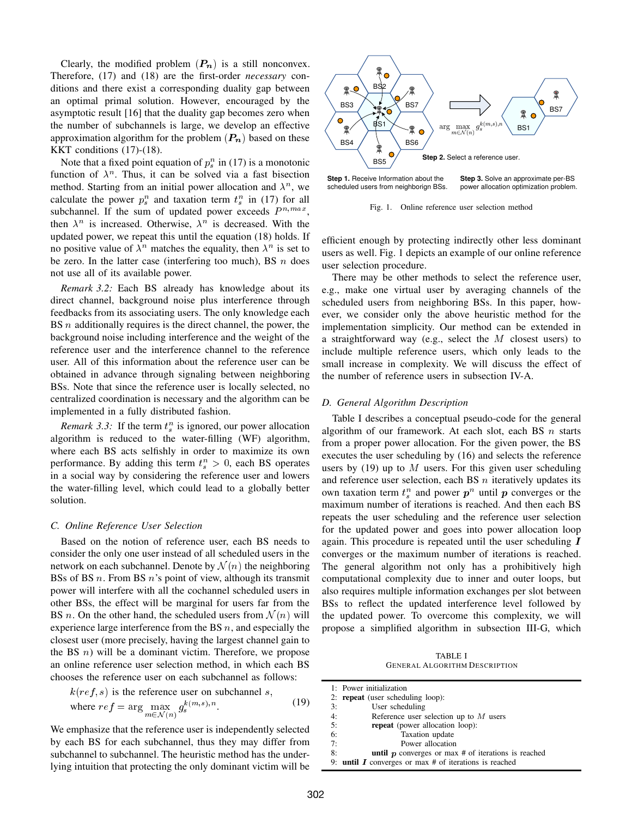Clearly, the modified problem  $(P_n)$  is a still nonconvex. Therefore, (17) and (18) are the first-order *necessary* conditions and there exist a corresponding duality gap between an optimal primal solution. However, encouraged by the asymptotic result [16] that the duality gap becomes zero when the number of subchannels is large, we develop an effective approximation algorithm for the problem  $(P_n)$  based on these KKT conditions (17)-(18).

Note that a fixed point equation of  $p_s^n$  in (17) is a monotonic function of  $\lambda^n$ . Thus, it can be solved via a fast bisection method. Starting from an initial power allocation and  $\lambda^n$ , we calculate the power  $p_s^n$  and taxation term  $t_s^n$  in (17) for all subchannel. If the sum of updated power exceeds  $P^{n,max}$ , then  $\lambda^n$  is increased. Otherwise,  $\lambda^n$  is decreased. With the updated power, we repeat this until the equation (18) holds. If no positive value of  $\lambda^n$  matches the equality, then  $\lambda^n$  is set to be zero. In the latter case (interfering too much), BS  $n$  does not use all of its available power.

*Remark 3.2:* Each BS already has knowledge about its direct channel, background noise plus interference through feedbacks from its associating users. The only knowledge each BS  $n$  additionally requires is the direct channel, the power, the background noise including interference and the weight of the reference user and the interference channel to the reference user. All of this information about the reference user can be obtained in advance through signaling between neighboring BSs. Note that since the reference user is locally selected, no centralized coordination is necessary and the algorithm can be implemented in a fully distributed fashion.

*Remark 3.3:* If the term  $t_s^n$  is ignored, our power allocation algorithm is reduced to the water-filling (WF) algorithm, where each BS acts selfishly in order to maximize its own performance. By adding this term  $t_s^n > 0$ , each BS operates in a social way by considering the reference user and lowers the water-filling level, which could lead to a globally better solution.

#### *C. Online Reference User Selection*

Based on the notion of reference user, each BS needs to consider the only one user instead of all scheduled users in the network on each subchannel. Denote by  $\mathcal{N}(n)$  the neighboring BSs of BS  $n$ . From BS  $n$ 's point of view, although its transmit power will interfere with all the cochannel scheduled users in other BSs, the effect will be marginal for users far from the BS *n*. On the other hand, the scheduled users from  $\mathcal{N}(n)$  will experience large interference from the BS  $n$ , and especially the closest user (more precisely, having the largest channel gain to the BS  $n$ ) will be a dominant victim. Therefore, we propose an online reference user selection method, in which each BS chooses the reference user on each subchannel as follows:

$$
k(ref, s) \text{ is the reference user on subchannel } s,
$$
  
where  $ref = \arg \max_{m \in \mathcal{N}(n)} g_s^{k(m, s), n}.$  (19)

We emphasize that the reference user is independently selected by each BS for each subchannel, thus they may differ from subchannel to subchannel. The heuristic method has the underlying intuition that protecting the only dominant victim will be

. . . . . . . . . .



**Step 1.** Receive Information about the scheduled users from neighborign BSs. **Step 3.** Solve an approximate per-BS power allocation optimization problem.

Fig. 1. Online reference user selection method

efficient enough by protecting indirectly other less dominant users as well. Fig. 1 depicts an example of our online reference user selection procedure.

There may be other methods to select the reference user, e.g., make one virtual user by averaging channels of the scheduled users from neighboring BSs. In this paper, however, we consider only the above heuristic method for the implementation simplicity. Our method can be extended in a straightforward way (e.g., select the M closest users) to include multiple reference users, which only leads to the small increase in complexity. We will discuss the effect of the number of reference users in subsection IV-A.

#### *D. General Algorithm Description*

Table I describes a conceptual pseudo-code for the general algorithm of our framework. At each slot, each BS  $n$  starts from a proper power allocation. For the given power, the BS executes the user scheduling by (16) and selects the reference users by (19) up to M users. For this given user scheduling and reference user selection, each BS  $n$  iteratively updates its own taxation term  $t_s^n$  and power  $p^n$  until p converges or the maximum number of iterations is reached. And then each BS repeats the user scheduling and the reference user selection for the updated power and goes into power allocation loop again. This procedure is repeated until the user scheduling  $I$ converges or the maximum number of iterations is reached. The general algorithm not only has a prohibitively high computational complexity due to inner and outer loops, but also requires multiple information exchanges per slot between BSs to reflect the updated interference level followed by the updated power. To overcome this complexity, we will propose a simplified algorithm in subsection III-G, which

TABLE I GENERAL ALGORITHM DESCRIPTION

| 1: Power initialization           |
|-----------------------------------|
| 2: repeat (user scheduling loop): |

|    | $\mathcal{L}$ . <b>Tepeat</b> (user sencouning roop).        |
|----|--------------------------------------------------------------|
| 3: | User scheduling                                              |
| 4: | Reference user selection up to $M$ users                     |
| 5: | <b>repeat</b> (power allocation loop):                       |
| 6: | Taxation update                                              |
| 7: | Power allocation                                             |
| 8: | <b>until p</b> converges or max $#$ of iterations is reached |
|    |                                                              |

9: **until**  $I$  converges or max  $#$  of iterations is reached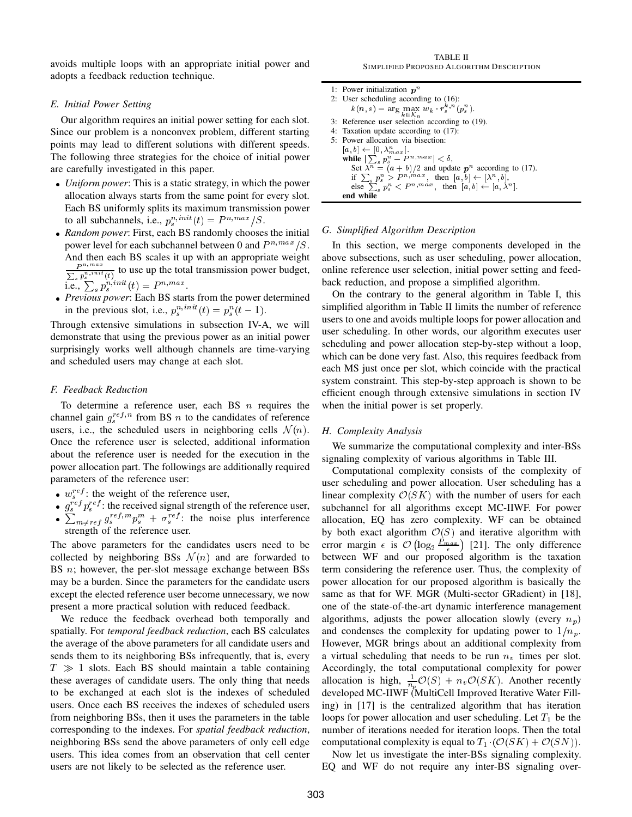avoids multiple loops with an appropriate initial power and adopts a feedback reduction technique.

#### *E. Initial Power Setting*

Our algorithm requires an initial power setting for each slot. Since our problem is a nonconvex problem, different starting points may lead to different solutions with different speeds. The following three strategies for the choice of initial power are carefully investigated in this paper.

- *Uniform power*: This is a static strategy, in which the power allocation always starts from the same point for every slot. Each BS uniformly splits its maximum transmission power to all subchannels, i.e.,  $p_s^{n,init}(t) = P^{n,max}/S$ .
- *Random power*: First, each BS randomly chooses the initial power level for each subchannel between 0 and  $P^{n,max}/S$ . And then each BS scales it up with an appropriate weight  $\frac{P^{n;max}}{\sum_{s} p_s^{n;init}(t)}$  to use up the total transmission power budget, i.e.,  $\sum_{s} p_s^{n,init}(t) = P^{n,max}$ .
- Previous power: Each BS starts from the power determined in the previous slot, i.e.,  $p_s^{n,init}(t) = p_s^n(t-1)$ .

Through extensive simulations in subsection IV-A, we will demonstrate that using the previous power as an initial power surprisingly works well although channels are time-varying and scheduled users may change at each slot.

#### *F. Feedback Reduction*

To determine a reference user, each BS  $n$  requires the channel gain  $g_s^{ref,n}$  from BS n to the candidates of reference users, i.e., the scheduled users in neighboring cells  $\mathcal{N}(n)$ . Once the reference user is selected, additional information about the reference user is needed for the execution in the power allocation part. The followings are additionally required parameters of the reference user:

- $\bullet$   $w_s^{ref}$ : the weight of the reference user,
- $g_s^{ref} p_s^{ref}$ : the received signal strength of the reference user, •  $\sum_{m \neq r \in \mathcal{F}} g_s^{ref,m} p_s^m + \sigma_s^{ref}$ : the noise plus interference strength of the reference user.

The above parameters for the candidates users need to be collected by neighboring BSs  $\mathcal{N}(n)$  and are forwarded to BS  $n$ ; however, the per-slot message exchange between BSs may be a burden. Since the parameters for the candidate users except the elected reference user become unnecessary, we now present a more practical solution with reduced feedback.

We reduce the feedback overhead both temporally and spatially. For *temporal feedback reduction*, each BS calculates the average of the above parameters for all candidate users and sends them to its neighboring BSs infrequently, that is, every  $T \gg 1$  slots. Each BS should maintain a table containing these averages of candidate users. The only thing that needs to be exchanged at each slot is the indexes of scheduled users. Once each BS receives the indexes of scheduled users from neighboring BSs, then it uses the parameters in the table corresponding to the indexes. For *spatial feedback reduction*, neighboring BSs send the above parameters of only cell edge users. This idea comes from an observation that cell center users are not likely to be selected as the reference user.

TABLE II SIMPLIFIED PROPOSED ALGORITHM DESCRIPTION

```
1: Power initialization p<sup>n</sup>2: User scheduling according to (16):
        k(n, s) = \arg \max_{k \in \mathcal{K}_n} w_k \cdot r_s^{k, n}(p_s^n).3: Reference user selection according to (19).
4: Taxation update according to (17):
5: Power allocation via bisection:
    [a, b] \leftarrow [0, \lambda_{max}^n].while \left|\sum_s p_s^n - P^{n,max}\right| < \delta,Set \lambda^n = (a + b)/2 and update p^n according to (17).
        if \sum_{s} p_s^n > P^{n,max}, then [a, b] \leftarrow [\lambda^n, b],
        else \sum_{s} p_s^n < P^{n, max}, then [a, b] \leftarrow [a, \lambda^n].
    end while
```
#### *G. Simplified Algorithm Description*

In this section, we merge components developed in the above subsections, such as user scheduling, power allocation, online reference user selection, initial power setting and feedback reduction, and propose a simplified algorithm.

On the contrary to the general algorithm in Table I, this simplified algorithm in Table II limits the number of reference users to one and avoids multiple loops for power allocation and user scheduling. In other words, our algorithm executes user scheduling and power allocation step-by-step without a loop, which can be done very fast. Also, this requires feedback from each MS just once per slot, which coincide with the practical system constraint. This step-by-step approach is shown to be efficient enough through extensive simulations in section IV when the initial power is set properly.

#### *H. Complexity Analysis*

We summarize the computational complexity and inter-BSs signaling complexity of various algorithms in Table III.

Computational complexity consists of the complexity of user scheduling and power allocation. User scheduling has a linear complexity  $\mathcal{O}(SK)$  with the number of users for each subchannel for all algorithms except MC-IIWF. For power allocation, EQ has zero complexity. WF can be obtained by both exact algorithm  $\mathcal{O}(S)$  and iterative algorithm with error margin  $\epsilon$  is  $\mathcal{O}($  $\log_2 \frac{P_{max}}{\epsilon}$  [21]. The only difference between WF and our proposed algorithm is the taxation term considering the reference user. Thus, the complexity of power allocation for our proposed algorithm is basically the same as that for WF. MGR (Multi-sector GRadient) in [18], one of the state-of-the-art dynamic interference management algorithms, adjusts the power allocation slowly (every  $n_p$ ) and condenses the complexity for updating power to  $1/n_p$ . However, MGR brings about an additional complexity from a virtual scheduling that needs to be run  $n<sub>v</sub>$  times per slot. Accordingly, the total computational complexity for power allocation is high,  $\frac{1}{n_p}O(S) + n_vO(SK)$ . Another recently developed MC-IIWF (MultiCell Improved Iterative Water Filling) in [17] is the centralized algorithm that has iteration loops for power allocation and user scheduling. Let  $T_1$  be the number of iterations needed for iteration loops. Then the total computational complexity is equal to  $T_1$  ( $\mathcal{O}(SK) + \mathcal{O}(SN)$ ).

Now let us investigate the inter-BSs signaling complexity. EQ and WF do not require any inter-BS signaling over-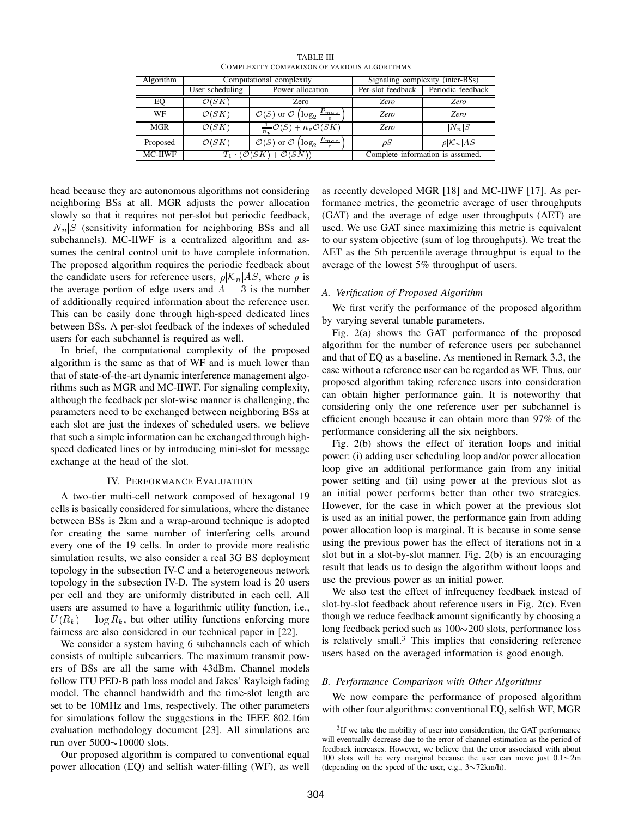| Algorithm      |                                                 | Computational complexity                                               |                   | Signaling complexity (inter-BSs) |
|----------------|-------------------------------------------------|------------------------------------------------------------------------|-------------------|----------------------------------|
|                | User scheduling                                 | Power allocation                                                       | Per-slot feedback | Periodic feedback                |
| EO             | $\mathcal{O}(SK$                                | Zero                                                                   | <b>Zero</b>       | Zero                             |
| WF             | $\mathcal{O}(SK)$                               | $\mathcal{O}(S)$ or $\mathcal{O}\left(\log_2 \frac{P_{max}}{s}\right)$ | <i>Zero</i>       | <i>Zero</i>                      |
| <b>MGR</b>     | $\mathcal{O}(SK)$                               | $\frac{1}{n_v}\mathcal{O}(S)$ + $\overline{n_v\mathcal{O}(SK)}$        | <i>Zero</i>       | $ N_n S$                         |
| Proposed       | $\mathcal{O}(SK)$                               | $P_{max}$<br>$\mathcal{O}(S)$ or $\mathcal{O}$ (<br>$log_2$            | $\rho S$          | $\rho  \mathcal{K}_n AS$         |
| <b>MC-IIWF</b> | $T_1 \cdot (\mathcal{O}(SK) + \mathcal{O}(SN))$ |                                                                        |                   | Complete information is assumed. |

TABLE III COMPLEXITY COMPARISON OF VARIOUS ALGORITHMS

head because they are autonomous algorithms not considering neighboring BSs at all. MGR adjusts the power allocation slowly so that it requires not per-slot but periodic feedback,  $|N_n|$ S (sensitivity information for neighboring BSs and all subchannels). MC-IIWF is a centralized algorithm and assumes the central control unit to have complete information. The proposed algorithm requires the periodic feedback about the candidate users for reference users,  $\rho|\mathcal{K}_n|AS$ , where  $\rho$  is the average portion of edge users and  $A = 3$  is the number of additionally required information about the reference user. This can be easily done through high-speed dedicated lines between BSs. A per-slot feedback of the indexes of scheduled users for each subchannel is required as well.

In brief, the computational complexity of the proposed algorithm is the same as that of WF and is much lower than that of state-of-the-art dynamic interference management algorithms such as MGR and MC-IIWF. For signaling complexity, although the feedback per slot-wise manner is challenging, the parameters need to be exchanged between neighboring BSs at each slot are just the indexes of scheduled users. we believe that such a simple information can be exchanged through highspeed dedicated lines or by introducing mini-slot for message exchange at the head of the slot.

#### IV. PERFORMANCE EVALUATION

A two-tier multi-cell network composed of hexagonal 19 cells is basically considered for simulations, where the distance between BSs is 2km and a wrap-around technique is adopted for creating the same number of interfering cells around every one of the 19 cells. In order to provide more realistic simulation results, we also consider a real 3G BS deployment topology in the subsection IV-C and a heterogeneous network topology in the subsection IV-D. The system load is 20 users per cell and they are uniformly distributed in each cell. All users are assumed to have a logarithmic utility function, i.e.,  $U(R_k) = \log R_k$ , but other utility functions enforcing more fairness are also considered in our technical paper in [22].

We consider a system having 6 subchannels each of which consists of multiple subcarriers. The maximum transmit powers of BSs are all the same with 43dBm. Channel models follow ITU PED-B path loss model and Jakes' Rayleigh fading model. The channel bandwidth and the time-slot length are set to be 10MHz and 1ms, respectively. The other parameters for simulations follow the suggestions in the IEEE 802.16m evaluation methodology document [23]. All simulations are run over  $5000\nu10000$  slots.

Our proposed algorithm is compared to conventional equal power allocation (EQ) and selfish water-filling (WF), as well as recently developed MGR [18] and MC-IIWF [17]. As performance metrics, the geometric average of user throughputs (GAT) and the average of edge user throughputs (AET) are used. We use GAT since maximizing this metric is equivalent to our system objective (sum of log throughputs). We treat the AET as the 5th percentile average throughput is equal to the average of the lowest 5% throughput of users.

#### *A. Verification of Proposed Algorithm*

We first verify the performance of the proposed algorithm by varying several tunable parameters.

Fig. 2(a) shows the GAT performance of the proposed algorithm for the number of reference users per subchannel and that of EQ as a baseline. As mentioned in Remark 3.3, the case without a reference user can be regarded as WF. Thus, our proposed algorithm taking reference users into consideration can obtain higher performance gain. It is noteworthy that considering only the one reference user per subchannel is efficient enough because it can obtain more than 97% of the performance considering all the six neighbors.

Fig. 2(b) shows the effect of iteration loops and initial power: (i) adding user scheduling loop and/or power allocation loop give an additional performance gain from any initial power setting and (ii) using power at the previous slot as an initial power performs better than other two strategies. However, for the case in which power at the previous slot is used as an initial power, the performance gain from adding power allocation loop is marginal. It is because in some sense using the previous power has the effect of iterations not in a slot but in a slot-by-slot manner. Fig. 2(b) is an encouraging result that leads us to design the algorithm without loops and use the previous power as an initial power.

We also test the effect of infrequency feedback instead of slot-by-slot feedback about reference users in Fig. 2(c). Even though we reduce feedback amount significantly by choosing a long feedback period such as  $100 \sim 200$  slots, performance loss is relatively small. $3$  This implies that considering reference users based on the averaged information is good enough.

#### *B. Performance Comparison with Other Algorithms*

We now compare the performance of proposed algorithm with other four algorithms: conventional EQ, selfish WF, MGR

<sup>&</sup>lt;sup>3</sup>If we take the mobility of user into consideration, the GAT performance will eventually decrease due to the error of channel estimation as the period of feedback increases. However, we believe that the error associated with about 100 slots will be very marginal because the user can move just  $0.1 \sim 2m$ (depending on the speed of the user, e.g.,  $3\sim$ 72km/h).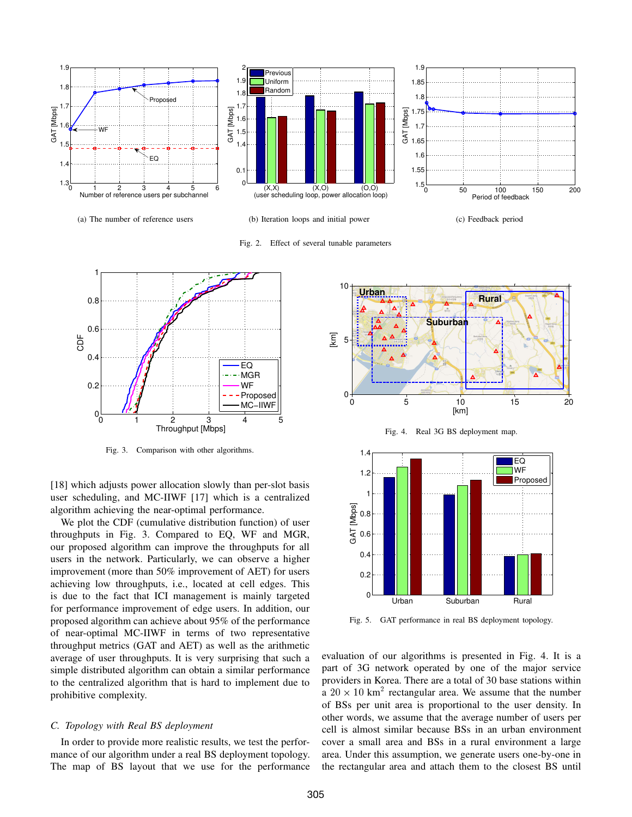

(a) The number of reference users

(b) Iteration loops and initial power

Fig. 2. Effect of several tunable parameters

(c) Feedback period



Fig. 3. Comparison with other algorithms.

[18] which adjusts power allocation slowly than per-slot basis user scheduling, and MC-IIWF [17] which is a centralized algorithm achieving the near-optimal performance.

We plot the CDF (cumulative distribution function) of user throughputs in Fig. 3. Compared to EQ, WF and MGR, our proposed algorithm can improve the throughputs for all users in the network. Particularly, we can observe a higher improvement (more than 50% improvement of AET) for users achieving low throughputs, i.e., located at cell edges. This is due to the fact that ICI management is mainly targeted for performance improvement of edge users. In addition, our proposed algorithm can achieve about 95% of the performance of near-optimal MC-IIWF in terms of two representative throughput metrics (GAT and AET) as well as the arithmetic average of user throughputs. It is very surprising that such a simple distributed algorithm can obtain a similar performance to the centralized algorithm that is hard to implement due to prohibitive complexity.

#### *C. Topology with Real BS deployment*

In order to provide more realistic results, we test the performance of our algorithm under a real BS deployment topology. The map of BS layout that we use for the performance



Fig. 4. Real 3G BS deployment map.



Fig. 5. GAT performance in real BS deployment topology.

evaluation of our algorithms is presented in Fig. 4. It is a part of 3G network operated by one of the major service providers in Korea. There are a total of 30 base stations within a  $20 \times 10$  km<sup>2</sup> rectangular area. We assume that the number of BSs per unit area is proportional to the user density. In other words, we assume that the average number of users per cell is almost similar because BSs in an urban environment cover a small area and BSs in a rural environment a large area. Under this assumption, we generate users one-by-one in the rectangular area and attach them to the closest BS until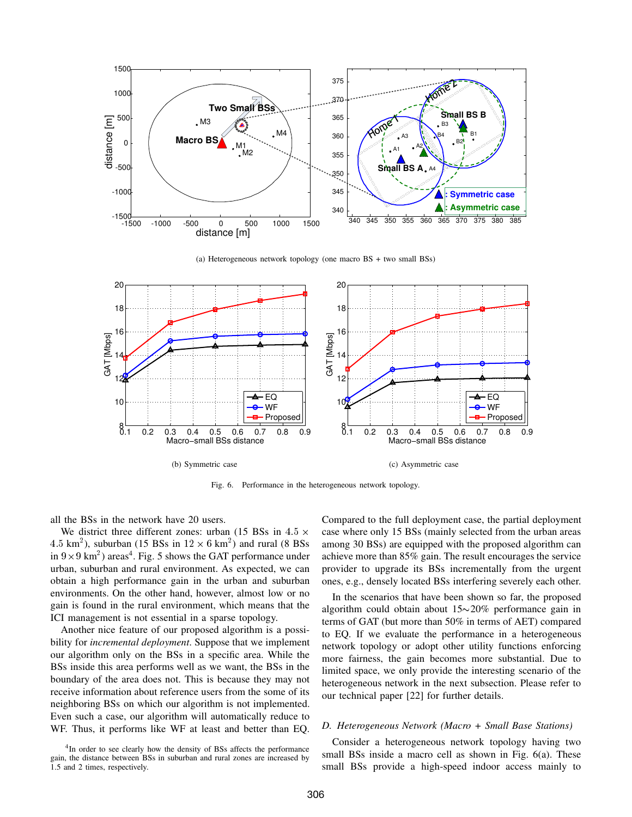

(a) Heterogeneous network topology (one macro BS + two small BSs)



Fig. 6. Performance in the heterogeneous network topology.

all the BSs in the network have 20 users.

We district three different zones: urban (15 BSs in  $4.5 \times$ 4.5 km<sup>2</sup>), suburban (15 BSs in  $12 \times 6$  km<sup>2</sup>) and rural (8 BSs in  $9 \times 9 \text{ km}^2$ ) areas<sup>4</sup>. Fig. 5 shows the GAT performance under urban, suburban and rural environment. As expected, we can obtain a high performance gain in the urban and suburban environments. On the other hand, however, almost low or no gain is found in the rural environment, which means that the ICI management is not essential in a sparse topology.

Another nice feature of our proposed algorithm is a possibility for *incremental deployment*. Suppose that we implement our algorithm only on the BSs in a specific area. While the BSs inside this area performs well as we want, the BSs in the boundary of the area does not. This is because they may not receive information about reference users from the some of its neighboring BSs on which our algorithm is not implemented. Even such a case, our algorithm will automatically reduce to WF. Thus, it performs like WF at least and better than EQ.

<sup>4</sup>In order to see clearly how the density of BSs affects the performance gain, the distance between BSs in suburban and rural zones are increased by 1.5 and 2 times, respectively.

Compared to the full deployment case, the partial deployment case where only 15 BSs (mainly selected from the urban areas among 30 BSs) are equipped with the proposed algorithm can achieve more than 85% gain. The result encourages the service provider to upgrade its BSs incrementally from the urgent ones, e.g., densely located BSs interfering severely each other.

In the scenarios that have been shown so far, the proposed algorithm could obtain about  $15{\sim}20\%$  performance gain in terms of GAT (but more than 50% in terms of AET) compared to EQ. If we evaluate the performance in a heterogeneous network topology or adopt other utility functions enforcing more fairness, the gain becomes more substantial. Due to limited space, we only provide the interesting scenario of the heterogeneous network in the next subsection. Please refer to our technical paper [22] for further details.

#### *D. Heterogeneous Network (Macro + Small Base Stations)*

Consider a heterogeneous network topology having two small BSs inside a macro cell as shown in Fig. 6(a). These small BSs provide a high-speed indoor access mainly to